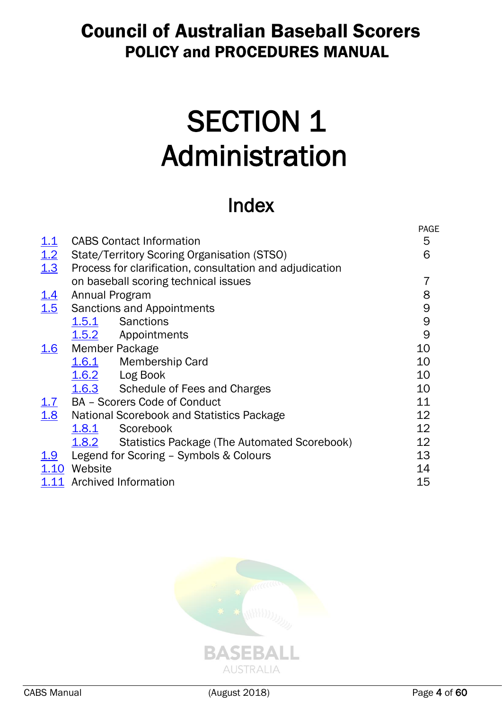# Council of Australian Baseball Scorers POLICY and PROCEDURES MANUAL

# **SECTION 1** Administration

# Index

|                   |                                                          | <b>PAGE</b>       |
|-------------------|----------------------------------------------------------|-------------------|
| <u>1.1</u>        | <b>CABS Contact Information</b>                          | 5                 |
| $\frac{1.2}{1.3}$ | State/Territory Scoring Organisation (STSO)              | 6                 |
|                   | Process for clarification, consultation and adjudication |                   |
|                   | on baseball scoring technical issues                     | 7                 |
| <u>1.4</u>        | Annual Program                                           | 8                 |
| 1.5               | <b>Sanctions and Appointments</b>                        | $\Theta$          |
|                   | 1.5.1 Sanctions                                          | 9                 |
|                   | 1.5.2 Appointments                                       | 9                 |
| <u>1.6</u>        | Member Package                                           | 10                |
|                   | 1.6.1 Membership Card                                    | 10                |
|                   | 1.6.2 Log Book                                           | 10                |
|                   | 1.6.3 Schedule of Fees and Charges                       | 10                |
|                   | 1.7 BA - Scorers Code of Conduct                         | 11                |
| 1.8               | National Scorebook and Statistics Package                | 12                |
|                   | 1.8.1<br>Scorebook                                       | 12                |
|                   | 1.8.2<br>Statistics Package (The Automated Scorebook)    | $12 \overline{ }$ |
| <u>1.9</u>        | Legend for Scoring – Symbols & Colours                   | 13                |
|                   | 1.10 Website                                             | 14                |
|                   | 1.11 Archived Information                                | 15                |
|                   |                                                          |                   |

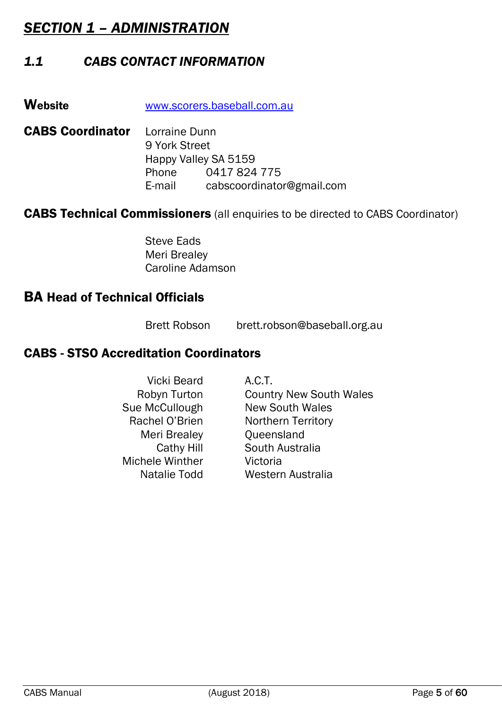# *SECTION 1 – ADMINISTRATION*

# <span id="page-1-0"></span>*1.1 CABS CONTACT INFORMATION*

Website [www.scorers.baseball.com.au](http://www.scorers.baseball.com.au/)

CABS Coordinator Lorraine Dunn 9 York Street Happy Valley SA 5159 Phone 0417 824 775 E-mail cabscoordinator@gmail.com

CABS Technical Commissioners (all enquiries to be directed to CABS Coordinator)

Steve Eads Meri Brealey Caroline Adamson

### BA Head of Technical Officials

Brett Robson [brett.robson@baseball.org.au](mailto:brett.robson@baseball.org.au)

### CABS - STSO Accreditation Coordinators

Vicki Beard A.C.T. Meri Brealey **Queensland** Michele Winther **Victoria** 

Robyn Turton Country New South Wales Sue McCullough New South Wales Rachel O'Brien Northern Territory Cathy Hill South Australia Natalie Todd Western Australia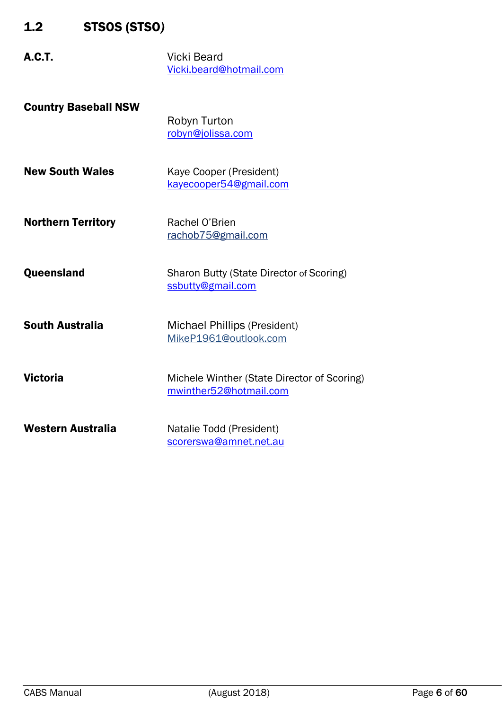# <span id="page-2-0"></span>1.2 STSOS (STSO*)*

Country Baseball NSW

| A.C.T. | Vicki Beard             |  |
|--------|-------------------------|--|
|        | Vicki.beard@hotmail.com |  |
|        |                         |  |

|                           | Robyn Turton<br>robyn@jolissa.com                             |
|---------------------------|---------------------------------------------------------------|
| <b>New South Wales</b>    | Kaye Cooper (President)<br>kayecooper54@gmail.com             |
| <b>Northern Territory</b> | Rachel O'Brien<br>rachob75@gmail.com                          |
| <b>Queensland</b>         | Sharon Butty (State Director of Scoring)<br>ssbutty@gmail.com |
| <b>South Australia</b>    | Michael Phillips (President)                                  |

Western Australia Matalie Todd (President)

MikeP1961@outlook.com

[mwinther52@hotmail.com](mailto:mwinther52@hotmail.com)

[scorerswa@amnet.net.au](mailto:scorerswa@amnet.net.au)

**Victoria** Michele Winther (State Director of Scoring)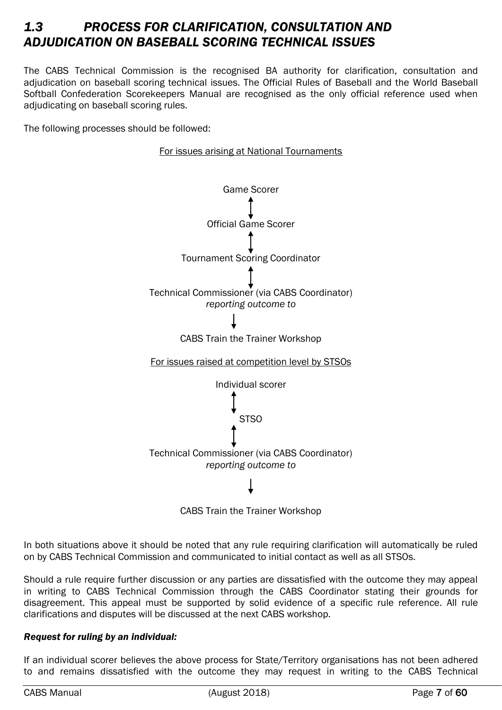# <span id="page-3-0"></span>*1.3 PROCESS FOR CLARIFICATION, CONSULTATION AND ADJUDICATION ON BASEBALL SCORING TECHNICAL ISSUES*

The CABS Technical Commission is the recognised BA authority for clarification, consultation and adjudication on baseball scoring technical issues. The Official Rules of Baseball and the World Baseball Softball Confederation Scorekeepers Manual are recognised as the only official reference used when adjudicating on baseball scoring rules.

The following processes should be followed:



CABS Train the Trainer Workshop

In both situations above it should be noted that any rule requiring clarification will automatically be ruled on by CABS Technical Commission and communicated to initial contact as well as all STSOs.

Should a rule require further discussion or any parties are dissatisfied with the outcome they may appeal in writing to CABS Technical Commission through the CABS Coordinator stating their grounds for disagreement. This appeal must be supported by solid evidence of a specific rule reference. All rule clarifications and disputes will be discussed at the next CABS workshop.

#### *Request for ruling by an individual:*

If an individual scorer believes the above process for State/Territory organisations has not been adhered to and remains dissatisfied with the outcome they may request in writing to the CABS Technical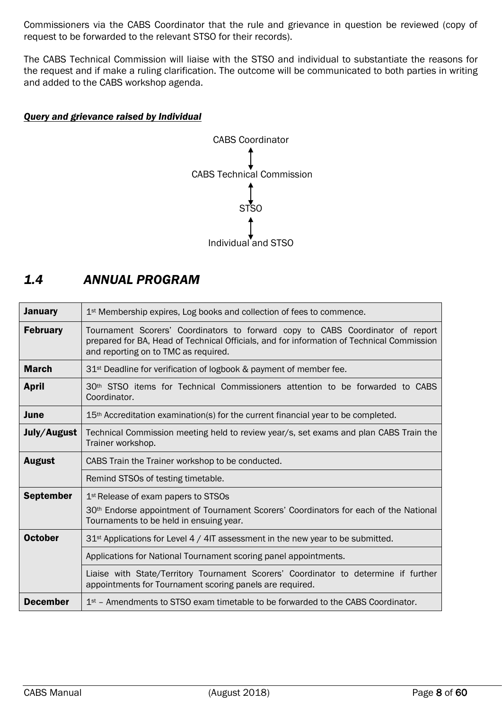Commissioners via the CABS Coordinator that the rule and grievance in question be reviewed (copy of request to be forwarded to the relevant STSO for their records).

The CABS Technical Commission will liaise with the STSO and individual to substantiate the reasons for the request and if make a ruling clarification. The outcome will be communicated to both parties in writing and added to the CABS workshop agenda.

#### *Query and grievance raised by Individual*



### <span id="page-4-0"></span>*1.4 ANNUAL PROGRAM*

| <b>January</b>   | 1 <sup>st</sup> Membership expires, Log books and collection of fees to commence.                                                                                                                                   |  |  |  |
|------------------|---------------------------------------------------------------------------------------------------------------------------------------------------------------------------------------------------------------------|--|--|--|
| <b>February</b>  | Tournament Scorers' Coordinators to forward copy to CABS Coordinator of report<br>prepared for BA, Head of Technical Officials, and for information of Technical Commission<br>and reporting on to TMC as required. |  |  |  |
| <b>March</b>     | 31 <sup>st</sup> Deadline for verification of logbook & payment of member fee.                                                                                                                                      |  |  |  |
| <b>April</b>     | 30th STSO items for Technical Commissioners attention to be forwarded to CABS<br>Coordinator.                                                                                                                       |  |  |  |
| June             | $15th$ Accreditation examination(s) for the current financial year to be completed.                                                                                                                                 |  |  |  |
| July/August      | Technical Commission meeting held to review year/s, set exams and plan CABS Train the<br>Trainer workshop.                                                                                                          |  |  |  |
| <b>August</b>    | CABS Train the Trainer workshop to be conducted.                                                                                                                                                                    |  |  |  |
|                  | Remind STSOs of testing timetable.                                                                                                                                                                                  |  |  |  |
| <b>September</b> | 1 <sup>st</sup> Release of exam papers to STSOs<br>30 <sup>th</sup> Endorse appointment of Tournament Scorers' Coordinators for each of the National<br>Tournaments to be held in ensuing year.                     |  |  |  |
| <b>October</b>   | 31 <sup>st</sup> Applications for Level 4 / 4IT assessment in the new year to be submitted.                                                                                                                         |  |  |  |
|                  | Applications for National Tournament scoring panel appointments.                                                                                                                                                    |  |  |  |
|                  | Liaise with State/Territory Tournament Scorers' Coordinator to determine if further<br>appointments for Tournament scoring panels are required.                                                                     |  |  |  |
| <b>December</b>  | $1st$ – Amendments to STSO exam timetable to be forwarded to the CABS Coordinator.                                                                                                                                  |  |  |  |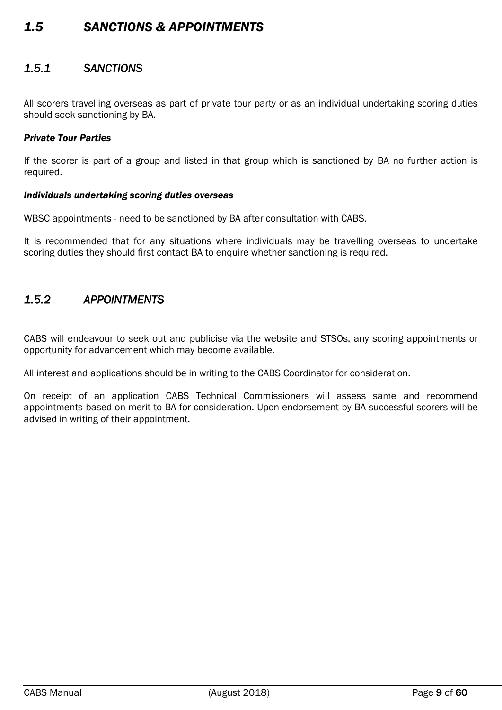### <span id="page-5-0"></span>*1.5 SANCTIONS & APPOINTMENTS*

#### <span id="page-5-1"></span>*1.5.1 SANCTIONS*

All scorers travelling overseas as part of private tour party or as an individual undertaking scoring duties should seek sanctioning by BA.

#### *Private Tour Parties*

If the scorer is part of a group and listed in that group which is sanctioned by BA no further action is required.

#### *Individuals undertaking scoring duties overseas*

WBSC appointments - need to be sanctioned by BA after consultation with CABS.

It is recommended that for any situations where individuals may be travelling overseas to undertake scoring duties they should first contact BA to enquire whether sanctioning is required.

#### <span id="page-5-2"></span>*1.5.2 APPOINTMENTS*

CABS will endeavour to seek out and publicise via the website and STSOs, any scoring appointments or opportunity for advancement which may become available.

All interest and applications should be in writing to the CABS Coordinator for consideration.

On receipt of an application CABS Technical Commissioners will assess same and recommend appointments based on merit to BA for consideration. Upon endorsement by BA successful scorers will be advised in writing of their appointment.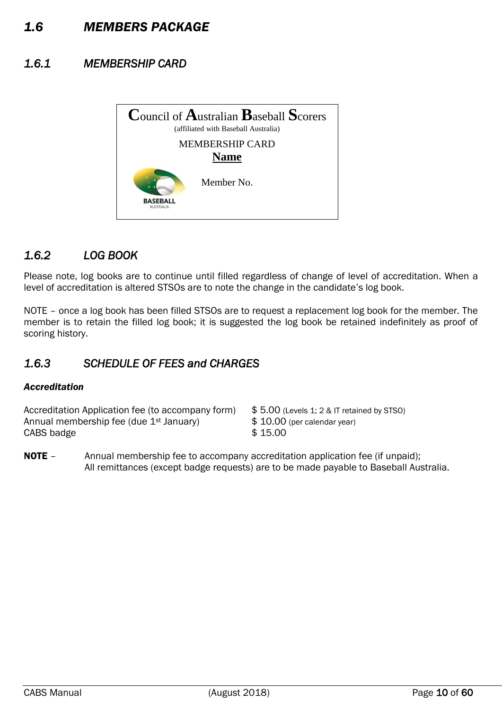# <span id="page-6-0"></span>*1.6 MEMBERS PACKAGE*

### <span id="page-6-1"></span>*1.6.1 MEMBERSHIP CARD*



#### *1.6.2 LOG BOOK*

Please note, log books are to continue until filled regardless of change of level of accreditation. When a level of accreditation is altered STSOs are to note the change in the candidate's log book.

NOTE – once a log book has been filled STSOs are to request a replacement log book for the member. The member is to retain the filled log book; it is suggested the log book be retained indefinitely as proof of scoring history.

#### <span id="page-6-2"></span>*1.6.3 SCHEDULE OF FEES and CHARGES*

#### *Accreditation*

Accreditation Application fee (to accompany form) \$ 5.00 (Levels 1; 2 & IT retained by STSO) Annual membership fee (due  $1<sup>st</sup>$  January)  $\qquad$  \$ 10.00 (per calendar year) CABS badge \$15.00

**NOTE** – Annual membership fee to accompany accreditation application fee (if unpaid); All remittances (except badge requests) are to be made payable to Baseball Australia.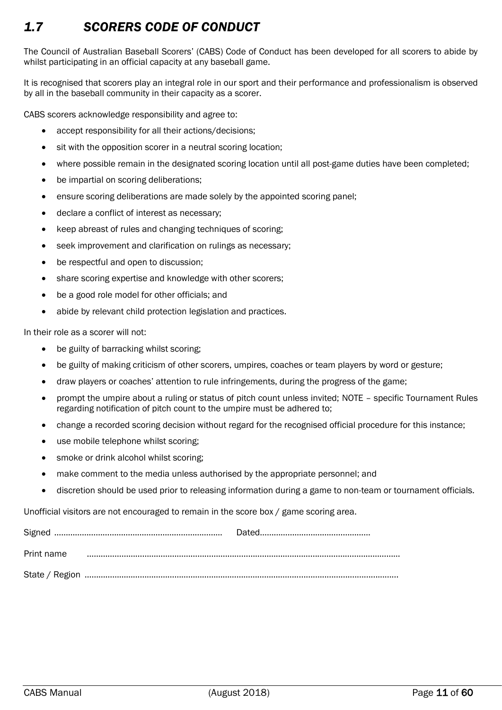# <span id="page-7-0"></span>*1.7 SCORERS CODE OF CONDUCT*

The Council of Australian Baseball Scorers' (CABS) Code of Conduct has been developed for all scorers to abide by whilst participating in an official capacity at any baseball game.

It is recognised that scorers play an integral role in our sport and their performance and professionalism is observed by all in the baseball community in their capacity as a scorer.

CABS scorers acknowledge responsibility and agree to:

- accept responsibility for all their actions/decisions;
- sit with the opposition scorer in a neutral scoring location;
- where possible remain in the designated scoring location until all post-game duties have been completed;
- be impartial on scoring deliberations;
- ensure scoring deliberations are made solely by the appointed scoring panel;
- declare a conflict of interest as necessary;
- keep abreast of rules and changing techniques of scoring;
- seek improvement and clarification on rulings as necessary;
- be respectful and open to discussion;
- share scoring expertise and knowledge with other scorers;
- be a good role model for other officials; and
- abide by relevant child protection legislation and practices.

In their role as a scorer will not:

- be guilty of barracking whilst scoring;
- be guilty of making criticism of other scorers, umpires, coaches or team players by word or gesture;
- draw players or coaches' attention to rule infringements, during the progress of the game;
- prompt the umpire about a ruling or status of pitch count unless invited; NOTE specific Tournament Rules regarding notification of pitch count to the umpire must be adhered to;
- change a recorded scoring decision without regard for the recognised official procedure for this instance;
- use mobile telephone whilst scoring;
- smoke or drink alcohol whilst scoring;
- make comment to the media unless authorised by the appropriate personnel; and
- discretion should be used prior to releasing information during a game to non-team or tournament officials.

Unofficial visitors are not encouraged to remain in the score box / game scoring area.

| Print name |  |
|------------|--|
|            |  |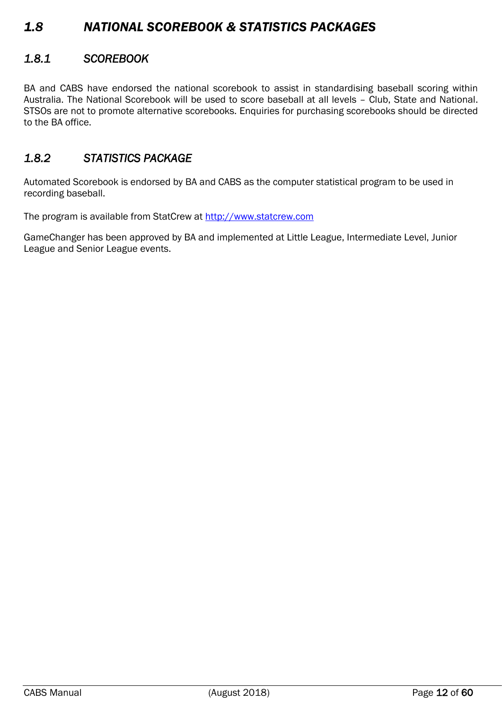# <span id="page-8-0"></span>*1.8 NATIONAL SCOREBOOK & STATISTICS PACKAGES*

#### <span id="page-8-1"></span>*1.8.1 SCOREBOOK*

BA and CABS have endorsed the national scorebook to assist in standardising baseball scoring within Australia. The National Scorebook will be used to score baseball at all levels – Club, State and National. STSOs are not to promote alternative scorebooks. Enquiries for purchasing scorebooks should be directed to the BA office.

#### <span id="page-8-2"></span>*1.8.2 STATISTICS PACKAGE*

Automated Scorebook is endorsed by BA and CABS as the computer statistical program to be used in recording baseball.

The program is available from StatCrew at [http://www.statcrew.com](http://www.statcrew.com/)

GameChanger has been approved by BA and implemented at Little League, Intermediate Level, Junior League and Senior League events.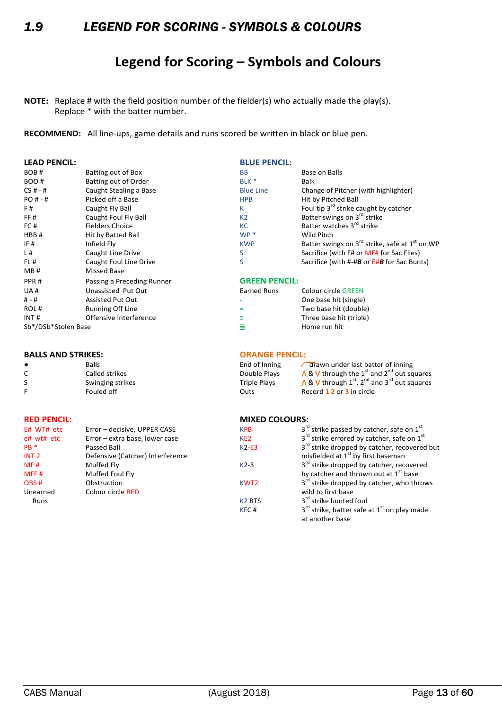# <span id="page-9-0"></span>*1.9 LEGEND FOR SCORING - SYMBOLS & COLOURS*

# **Legend for Scoring – Symbols and Colours**

**NOTE:** Replace # with the field position number of the fielder(s) who actually made the play(s). Replace \* with the batter number.

**RECOMMEND:** All line-ups, game details and runs scored be written in black or blue pen.

#### **LEAD PENCIL: BLUE PENCIL:**

| BOB#                | Batting out of Box         | <b>BB</b>            | Base on Balls                            |
|---------------------|----------------------------|----------------------|------------------------------------------|
| BOO#                | Batting out of Order       | BLK *                | <b>Balk</b>                              |
| $CS# - #$           | Caught Stealing a Base     | <b>Blue Line</b>     | Change of Pitcher (with hi               |
| $PO# - #$           | Picked off a Base          | <b>HPB</b>           | Hit by Pitched Ball                      |
| F#                  | Caught Fly Ball            | К                    | Foul tip 3 <sup>rd</sup> strike caught b |
| FF#                 | Caught Foul Fly Ball       | K <sub>2</sub>       | Batter swings on 3 <sup>rd</sup> strike  |
| FC#                 | <b>Fielders Choice</b>     | <b>KC</b>            | Batter watches 3 <sup>rd</sup> strike    |
| HBB#                | Hit by Batted Ball         | $WP*$                | Wild Pitch                               |
| IF#                 | Infield Fly                | <b>KWP</b>           | Batter swings on 3 <sup>rd</sup> strike  |
| L#                  | Caught Line Drive          | S                    | Sacrifice (with F# or MF#1               |
| FL#                 | Caught Foul Line Drive     | S                    | Sacrifice (with #-#B or E#E              |
| MB#                 | <b>Missed Base</b>         |                      |                                          |
| PPR#                | Passing a Preceding Runner | <b>GREEN PENCIL:</b> |                                          |
| UA#                 | Unassisted Put Out         | <b>Earned Runs</b>   | <b>Colour circle GREEN</b>               |
| $# - #$             | <b>Assisted Put Out</b>    |                      | One base hit (single)                    |
| ROL#                | <b>Running Off Line</b>    |                      | Two base hit (double)                    |
| INT#                | Offensive Interference     |                      | Three base hit (triple)                  |
| Sb*/DSb*Stolen Base |                            |                      | Home run hit                             |

| BOB #    | Batting out of Box     | вв               | Base on Balls                                                          |
|----------|------------------------|------------------|------------------------------------------------------------------------|
| BOO#     | Batting out of Order   | BLK *            | Balk                                                                   |
| CS # - # | Caught Stealing a Base | <b>Blue Line</b> | Change of Pitcher (with highlighter)                                   |
| PO # - # | Picked off a Base      | <b>HPB</b>       | Hit by Pitched Ball                                                    |
| F#       | Caught Fly Ball        | K.               | Foul tip 3 <sup>rd</sup> strike caught by catcher                      |
| FF#      | Caught Foul Fly Ball   | K <sub>2</sub>   | Batter swings on 3 <sup>rd</sup> strike                                |
| FC#      | <b>Fielders Choice</b> | <b>KC</b>        | Batter watches 3 <sup>rd</sup> strike                                  |
| HBB#     | Hit by Batted Ball     | $WP*$            | Wild Pitch                                                             |
| IF#      | Infield Fly            | <b>KWP</b>       | Batter swings on 3 <sup>rd</sup> strike, safe at 1 <sup>st</sup> on WP |
| L#       | Caught Line Drive      |                  | Sacrifice (with F# or MF# for Sac Flies)                               |
| FL#      | Caught Foul Line Drive |                  | Sacrifice (with #-#B or E#B for Sac Bunts)                             |
|          |                        |                  |                                                                        |

#### **GREEN PENCIL:**

| <b>Earned Runs</b> | <b>Colour circle GREEN</b> |
|--------------------|----------------------------|
|                    | One base hit (single)      |
|                    | Two base hit (double)      |
| Ξ                  | Three base hit (triple)    |
| Ξ                  | Home run hit               |
|                    |                            |

## **BALLS AND STRIKES: ORANGE PENCIL:**<br> **e** Balls Balls and Official Contract Contract Contract Contract Contract Contract Contract Contract Contract Contract Contract Contract Contract Contract Contract Contract Contract C C Called strikes Double Plays **Called the 1996** S Swinging strikes Transformation of the South 1 through 1 through 1 through 1 through 1 through 1 through 1 through 1 through 1 through 1 through 1 through 1 through 1 through 1 through 1 through 1 through 1 through 1 thr

| E# WT# etc       | Error - decisive, UPPER CASE     | <b>KPB</b>         | 3 <sup>to</sup> strike passed by catcher, safe |
|------------------|----------------------------------|--------------------|------------------------------------------------|
| e# wt# etc       | Error - extra base, lower case   | KE <sub>2</sub>    | 3rd strike errored by catcher, safe            |
| $PB*$            | Passed Ball                      | $K2-E3$            | 3 <sup>rd</sup> strike dropped by catcher, red |
| INT <sub>2</sub> | Defensive (Catcher) Interference |                    | misfielded at 1 <sup>st</sup> by first baseman |
| MF#              | Muffed Fly                       | $K2-3$             | 3 <sup>rd</sup> strike dropped by catcher, red |
| MFF#             | Muffed Foul Fly                  |                    | by catcher and thrown out at 1st               |
| OBS#             | Obstruction                      | KWT <sub>2</sub>   | 3 <sup>rd</sup> strike dropped by catcher, wh  |
| Unearned         | Colour circle RED                |                    | wild to first base                             |
| Runs             |                                  | K <sub>2</sub> BTS | 3 <sup>rd</sup> strike bunted foul             |
|                  |                                  |                    |                                                |

|              | <b>Balls</b>     | End of Inning       | Tarawn under last batter of inning                                                      |
|--------------|------------------|---------------------|-----------------------------------------------------------------------------------------|
| $\sim$<br>U. | Called strikes   | Double Plays        | $\Lambda$ & V through the 1 <sup>st</sup> and 2 <sup>nd</sup> out squares               |
|              | Swinging strikes | <b>Triple Plays</b> | $\Lambda$ & V through 1 <sup>st</sup> , 2 <sup>nd</sup> and 3 <sup>rd</sup> out squares |
|              | Fouled off       | Outs                | Record 1 2 or 3 in circle                                                               |

#### **RED PENCIL: MIXED COLOURS:**

| E# WT# etc       | Error - decisive, UPPER CASE     | <b>KPB</b>         | $3rd$ strike passed by catcher, safe on $1st$            |
|------------------|----------------------------------|--------------------|----------------------------------------------------------|
| e# wt# etc       | Error - extra base, lower case   | KE <sub>2</sub>    | $3rd$ strike errored by catcher, safe on $1st$           |
| PB <sup>*</sup>  | Passed Ball                      | $K2-E3$            | 3 <sup>rd</sup> strike dropped by catcher, recovered but |
| INT <sub>2</sub> | Defensive (Catcher) Interference |                    | misfielded at 1 <sup>st</sup> by first baseman           |
| MF#              | Muffed Fly                       | $K2-3$             | 3 <sup>rd</sup> strike dropped by catcher, recovered     |
| MFF#             | Muffed Foul Fly                  |                    | by catcher and thrown out at 1 <sup>st</sup> base        |
| OBS#             | Obstruction                      | KWT <sub>2</sub>   | 3 <sup>rd</sup> strike dropped by catcher, who throws    |
| Unearned         | Colour circle RED                |                    | wild to first base                                       |
| Runs             |                                  | K <sub>2</sub> BTS | 3 <sup>rd</sup> strike bunted foul                       |
|                  |                                  | KFC#               | $3rd$ strike, batter safe at $1st$ on play made          |
|                  |                                  |                    | at another base                                          |
|                  |                                  |                    |                                                          |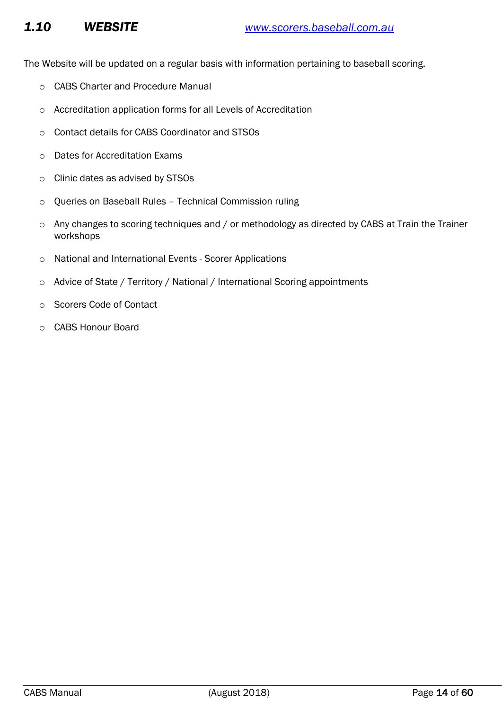<span id="page-10-0"></span>The Website will be updated on a regular basis with information pertaining to baseball scoring.

- o CABS Charter and Procedure Manual
- o Accreditation application forms for all Levels of Accreditation
- o Contact details for CABS Coordinator and STSOs
- o Dates for Accreditation Exams
- o Clinic dates as advised by STSOs
- o Queries on Baseball Rules Technical Commission ruling
- o Any changes to scoring techniques and / or methodology as directed by CABS at Train the Trainer workshops
- o National and International Events Scorer Applications
- o Advice of State / Territory / National / International Scoring appointments
- o Scorers Code of Contact
- o CABS Honour Board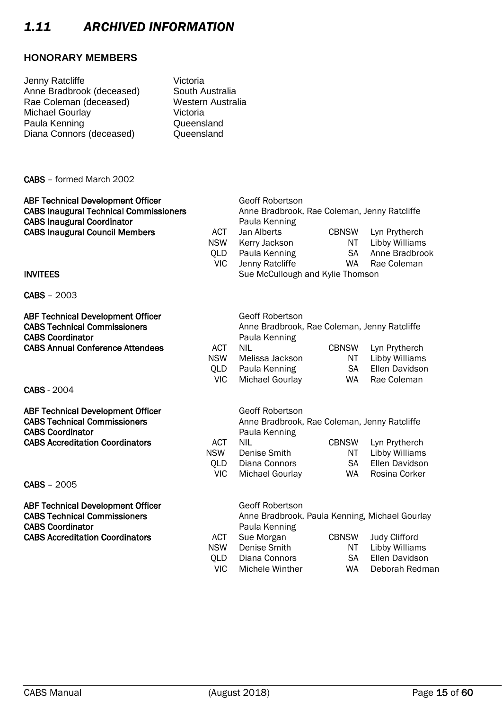# <span id="page-11-0"></span>*1.11 ARCHIVED INFORMATION*

Jenny Ratcliffe **Victoria** 

#### **HONORARY MEMBERS**

| Anne Bradbrook (deceased)<br>Rae Coleman (deceased)<br><b>Michael Gourlay</b><br>Paula Kenning<br>Diana Connors (deceased)                                              | South Australia<br>Western Australia<br>Victoria<br>Queensland<br>Queensland |                                                                                                                                                              |                                       |                                                                                   |
|-------------------------------------------------------------------------------------------------------------------------------------------------------------------------|------------------------------------------------------------------------------|--------------------------------------------------------------------------------------------------------------------------------------------------------------|---------------------------------------|-----------------------------------------------------------------------------------|
| CABS - formed March 2002                                                                                                                                                |                                                                              |                                                                                                                                                              |                                       |                                                                                   |
| <b>ABF Technical Development Officer</b><br><b>CABS Inaugural Technical Commissioners</b><br><b>CABS Inaugural Coordinator</b><br><b>CABS Inaugural Council Members</b> | <b>ACT</b><br><b>NSW</b><br><b>QLD</b><br><b>VIC</b>                         | <b>Geoff Robertson</b><br>Anne Bradbrook, Rae Coleman, Jenny Ratcliffe<br>Paula Kenning<br>Jan Alberts<br>Kerry Jackson<br>Paula Kenning<br>Jenny Ratcliffe  | <b>CBNSW</b><br>NT<br><b>SA</b><br>WA | Lyn Prytherch<br><b>Libby Williams</b><br>Anne Bradbrook<br>Rae Coleman           |
| <b>INVITEES</b>                                                                                                                                                         |                                                                              | Sue McCullough and Kylie Thomson                                                                                                                             |                                       |                                                                                   |
| CABS - 2003                                                                                                                                                             |                                                                              |                                                                                                                                                              |                                       |                                                                                   |
| <b>ABF Technical Development Officer</b><br><b>CABS Technical Commissioners</b><br><b>CABS Coordinator</b><br><b>CABS Annual Conference Attendees</b>                   | <b>ACT</b><br><b>NSW</b><br>QLD<br><b>VIC</b>                                | <b>Geoff Robertson</b><br>Anne Bradbrook, Rae Coleman, Jenny Ratcliffe<br>Paula Kenning<br><b>NIL</b><br>Melissa Jackson<br>Paula Kenning<br>Michael Gourlay | <b>CBNSW</b><br>NT<br><b>SA</b><br>WA | Lyn Prytherch<br><b>Libby Williams</b><br>Ellen Davidson<br>Rae Coleman           |
| <b>CABS</b> - 2004                                                                                                                                                      |                                                                              |                                                                                                                                                              |                                       |                                                                                   |
| <b>ABF Technical Development Officer</b><br><b>CABS Technical Commissioners</b><br><b>CABS Coordinator</b><br><b>CABS Accreditation Coordinators</b>                    | <b>ACT</b><br><b>NSW</b><br>QLD                                              | <b>Geoff Robertson</b><br>Anne Bradbrook, Rae Coleman, Jenny Ratcliffe<br>Paula Kenning<br><b>NIL</b><br>Denise Smith<br>Diana Connors                       | <b>CBNSW</b><br>NT<br><b>SA</b>       | Lyn Prytherch<br>Libby Williams<br>Ellen Davidson                                 |
| <b>CABS - 2005</b>                                                                                                                                                      | <b>VIC</b>                                                                   | <b>Michael Gourlay</b>                                                                                                                                       | WA                                    | Rosina Corker                                                                     |
| <b>ABF Technical Development Officer</b><br><b>CABS Technical Commissioners</b><br><b>CABS Coordinator</b><br><b>CABS Accreditation Coordinators</b>                    | <b>ACT</b><br><b>NSW</b><br><b>QLD</b><br><b>VIC</b>                         | Geoff Robertson<br>Anne Bradbrook, Paula Kenning, Michael Gourlay<br>Paula Kenning<br>Sue Morgan<br>Denise Smith<br>Diana Connors<br>Michele Winther         | <b>CBNSW</b><br>NT<br><b>SA</b><br>WA | <b>Judy Clifford</b><br><b>Libby Williams</b><br>Ellen Davidson<br>Deborah Redman |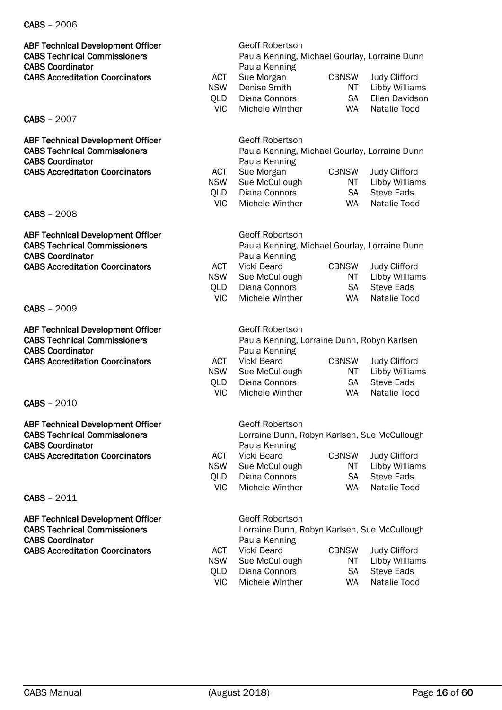CABS – 2006

| <b>ABF Technical Development Officer</b><br><b>CABS Technical Commissioners</b><br><b>CABS Coordinator</b>                                           |                                               | <b>Geoff Robertson</b><br>Paula Kenning, Michael Gourlay, Lorraine Dunn<br>Paula Kenning                       |                                       |                                                                             |
|------------------------------------------------------------------------------------------------------------------------------------------------------|-----------------------------------------------|----------------------------------------------------------------------------------------------------------------|---------------------------------------|-----------------------------------------------------------------------------|
| <b>CABS Accreditation Coordinators</b>                                                                                                               | <b>ACT</b><br><b>NSW</b><br><b>QLD</b>        | Sue Morgan<br>Denise Smith<br>Diana Connors                                                                    | <b>CBNSW</b><br>ΝT<br><b>SA</b>       | <b>Judy Clifford</b><br>Libby Williams<br>Ellen Davidson                    |
| <b>CABS - 2007</b>                                                                                                                                   | <b>VIC</b>                                    | Michele Winther                                                                                                | <b>WA</b>                             | Natalie Todd                                                                |
| <b>ABF Technical Development Officer</b><br><b>CABS Technical Commissioners</b><br><b>CABS Coordinator</b>                                           |                                               | <b>Geoff Robertson</b><br>Paula Kenning, Michael Gourlay, Lorraine Dunn<br>Paula Kenning                       |                                       |                                                                             |
| <b>CABS Accreditation Coordinators</b>                                                                                                               | <b>ACT</b><br><b>NSW</b><br><b>QLD</b>        | Sue Morgan<br>Sue McCullough<br>Diana Connors                                                                  | <b>CBNSW</b><br>NT<br><b>SA</b>       | <b>Judy Clifford</b><br><b>Libby Williams</b><br><b>Steve Eads</b>          |
| <b>CABS - 2008</b>                                                                                                                                   | <b>VIC</b>                                    | Michele Winther                                                                                                | <b>WA</b>                             | Natalie Todd                                                                |
| <b>ABF Technical Development Officer</b><br><b>CABS Technical Commissioners</b><br><b>CABS Coordinator</b><br><b>CABS Accreditation Coordinators</b> | <b>ACT</b>                                    | <b>Geoff Robertson</b><br>Paula Kenning, Michael Gourlay, Lorraine Dunn<br>Paula Kenning<br><b>Vicki Beard</b> | <b>CBNSW</b>                          | <b>Judy Clifford</b>                                                        |
|                                                                                                                                                      | <b>NSW</b><br>QLD                             | Sue McCullough<br>Diana Connors                                                                                | NT<br><b>SA</b>                       | <b>Libby Williams</b><br><b>Steve Eads</b>                                  |
| <b>CABS - 2009</b>                                                                                                                                   | <b>VIC</b>                                    | Michele Winther                                                                                                | <b>WA</b>                             | Natalie Todd                                                                |
| <b>ABF Technical Development Officer</b><br><b>CABS Technical Commissioners</b><br><b>CABS Coordinator</b>                                           |                                               | <b>Geoff Robertson</b><br>Paula Kenning, Lorraine Dunn, Robyn Karlsen<br>Paula Kenning                         |                                       |                                                                             |
| <b>CABS Accreditation Coordinators</b>                                                                                                               | <b>ACT</b><br><b>NSW</b><br>QLD               | Vicki Beard<br>Sue McCullough<br>Diana Connors                                                                 | <b>CBNSW</b><br>NT<br><b>SA</b>       | <b>Judy Clifford</b><br><b>Libby Williams</b><br><b>Steve Eads</b>          |
| CABS - 2010                                                                                                                                          | <b>VIC</b>                                    | Michele Winther                                                                                                | WA                                    | <b>Natalie Todd</b>                                                         |
| <b>ABF Technical Development Officer</b><br><b>CABS Technical Commissioners</b><br><b>CABS Coordinator</b>                                           |                                               | Geoff Robertson<br>Lorraine Dunn, Robyn Karlsen, Sue McCullough<br>Paula Kenning                               |                                       |                                                                             |
| <b>CABS Accreditation Coordinators</b>                                                                                                               | <b>ACT</b><br><b>NSW</b><br>QLD               | Vicki Beard<br>Sue McCullough<br>Diana Connors                                                                 | <b>CBNSW</b><br>NT<br><b>SA</b>       | <b>Judy Clifford</b><br>Libby Williams<br><b>Steve Eads</b>                 |
| CABS - 2011                                                                                                                                          | <b>VIC</b>                                    | Michele Winther                                                                                                | WA                                    | Natalie Todd                                                                |
| <b>ABF Technical Development Officer</b><br><b>CABS Technical Commissioners</b><br><b>CABS Coordinator</b>                                           |                                               | <b>Geoff Robertson</b><br>Lorraine Dunn, Robyn Karlsen, Sue McCullough<br>Paula Kenning                        |                                       |                                                                             |
| <b>CABS Accreditation Coordinators</b>                                                                                                               | <b>ACT</b><br><b>NSW</b><br>QLD<br><b>VIC</b> | Vicki Beard<br>Sue McCullough<br>Diana Connors<br>Michele Winther                                              | <b>CBNSW</b><br>ΝT<br><b>SA</b><br>WA | <b>Judy Clifford</b><br>Libby Williams<br><b>Steve Eads</b><br>Natalie Todd |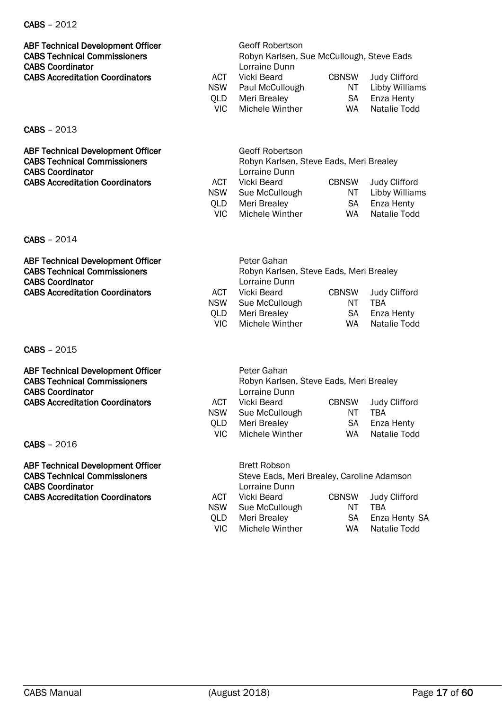#### CABS – 2012

| <b>ABF Technical Development Officer</b> |            | <b>Geoff Robertson</b>                    |              |                      |
|------------------------------------------|------------|-------------------------------------------|--------------|----------------------|
| <b>CABS Technical Commissioners</b>      |            | Robyn Karlsen, Sue McCullough, Steve Eads |              |                      |
| <b>CABS Coordinator</b>                  |            | Lorraine Dunn                             |              |                      |
| <b>CABS Accreditation Coordinators</b>   | ACT        | Vicki Beard                               | <b>CBNSW</b> | <b>Judy Clifford</b> |
|                                          | <b>NSW</b> | Paul McCullough                           | NT           | Libby Williams       |
|                                          | OLD.       | Meri Brealey                              | SA           | Enza Henty           |
|                                          | VIC.       | Michele Winther                           | WA           | Natalie Todd         |
|                                          |            |                                           |              |                      |

CABS – 2013

| <b>ABF Technical Development Officer</b> |            | Geoff Robertson                         |              |                      |
|------------------------------------------|------------|-----------------------------------------|--------------|----------------------|
| <b>CABS Technical Commissioners</b>      |            | Robyn Karlsen, Steve Eads, Meri Brealey |              |                      |
| <b>CABS Coordinator</b>                  |            | Lorraine Dunn                           |              |                      |
| <b>CABS Accreditation Coordinators</b>   | ACT        | Vicki Beard                             | <b>CBNSW</b> | <b>Judy Clifford</b> |
|                                          | <b>NSW</b> | Sue McCullough                          | NT.          | Libby Williams       |
|                                          | <b>OLD</b> | Meri Brealey                            | SA.          | Enza Henty           |
|                                          | VIC.       | Michele Winther                         | WA           | Natalie Todd         |

CABS – 2014

| <b>ABF Technical Development Officer</b> |            | Peter Gahan                             |              |                      |
|------------------------------------------|------------|-----------------------------------------|--------------|----------------------|
| <b>CABS Technical Commissioners</b>      |            | Robyn Karlsen, Steve Eads, Meri Brealey |              |                      |
| <b>CABS Coordinator</b>                  |            | Lorraine Dunn                           |              |                      |
| <b>CABS Accreditation Coordinators</b>   | ACT        | Vicki Beard                             | <b>CBNSW</b> | <b>Judy Clifford</b> |
|                                          | <b>NSW</b> | Sue McCullough                          | NT           | TBA                  |
|                                          | OLD.       | Meri Brealey                            | SA           | Enza Henty           |
|                                          | VIC        | Michele Winther                         | WA           | Natalie Todd         |

CABS – 2015

ABF Technical Development Officer **CABS Technical Commissioners CABS Coordinator** CABS Accreditation Coordinators ACT A

CABS – 2016

ABF Technical Development Officer **CABS Technical Commissioners CABS Coordinator** CABS Accreditation Coordinators<br>NS

|            | Peter Gahan                             |              |                      |
|------------|-----------------------------------------|--------------|----------------------|
|            | Robyn Karlsen, Steve Eads, Meri Brealey |              |                      |
|            | Lorraine Dunn                           |              |                      |
| ACT        | Vicki Beard                             | <b>CBNSW</b> | <b>Judy Clifford</b> |
| <b>NSW</b> | Sue McCullough                          | NT           | TRA                  |
| <b>OLD</b> | Meri Brealey                            | SА           | Enza Henty           |
| VIC.       | Michele Winther                         | WA           | Natalie Todd         |
|            |                                         |              |                      |

|            | <b>Brett Robson</b>                        |              |                      |
|------------|--------------------------------------------|--------------|----------------------|
|            | Steve Eads, Meri Brealey, Caroline Adamson |              |                      |
|            | Lorraine Dunn                              |              |                      |
| ACT        | Vicki Beard                                | <b>CBNSW</b> | <b>Judy Clifford</b> |
| <b>NSW</b> | Sue McCullough                             | NT           | TRA                  |
| OLD        | Meri Brealey                               | SA.          | Enza Henty SA        |
| VIC.       | Michele Winther                            | WA           | Natalie Todd         |